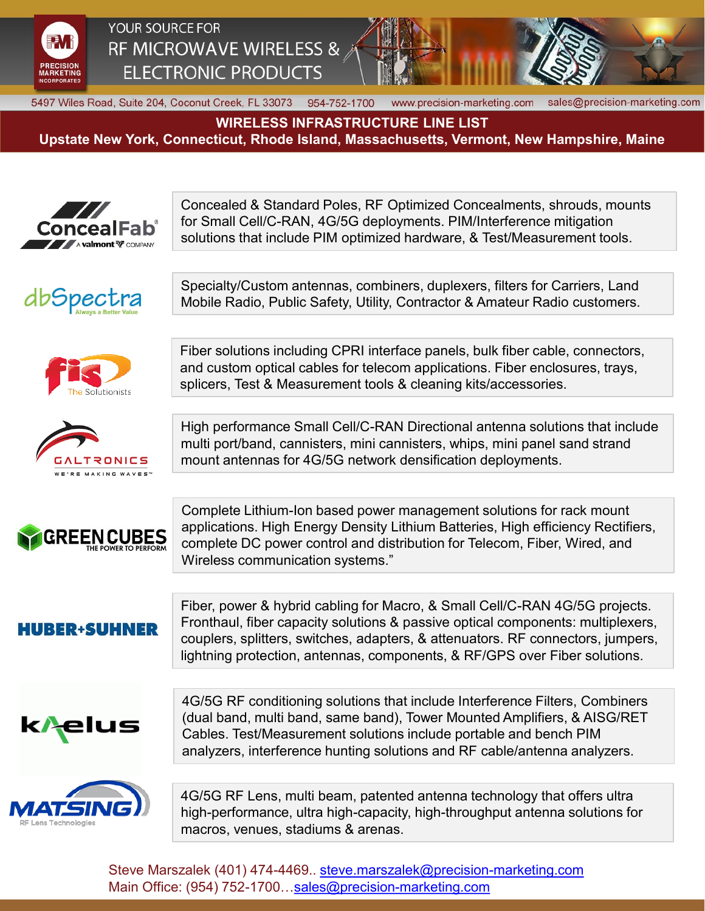

YOUR SOURCE FOR RF MICROWAVE WIRELESS & **ELECTRONIC PRODUCTS** 



sales@precision-marketing.com

www.precision-marketing.com

5497 Wiles Road, Suite 204, Coconut Creek, FL 33073 954-752-1700

**WIRELESS INFRASTRUCTURE LINE LIST** 

**Upstate New York, Connecticut, Rhode Island, Massachusetts, Vermont, New Hampshire, Maine**



Steve Marszalek (401) 474-4469.. [steve.marszalek@precision-marketing.com](mailto:steve.marszalek@precision-marketing.com) Main Office: (954) 752-1700…[sales@precision-marketing.com](mailto:sales@precision-marketing.com)